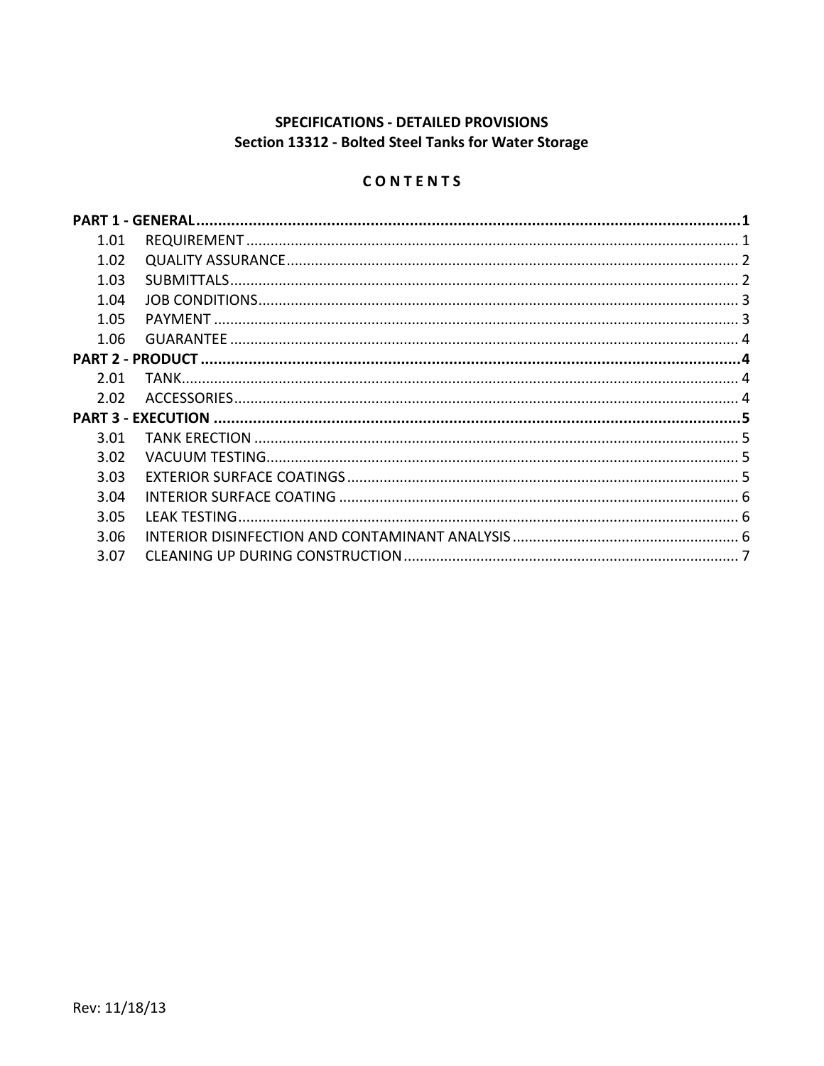# SPECIFICATIONS - DETAILED PROVISIONS Section 13312 - Bolted Steel Tanks for Water Storage

# CONTENTS

| 1.01 |  |  |
|------|--|--|
| 1.02 |  |  |
| 1.03 |  |  |
| 1.04 |  |  |
| 1.05 |  |  |
| 1.06 |  |  |
|      |  |  |
| 2.01 |  |  |
| 2.02 |  |  |
|      |  |  |
| 3.01 |  |  |
| 3.02 |  |  |
| 3.03 |  |  |
| 3.04 |  |  |
| 3.05 |  |  |
| 3.06 |  |  |
| 3.07 |  |  |
|      |  |  |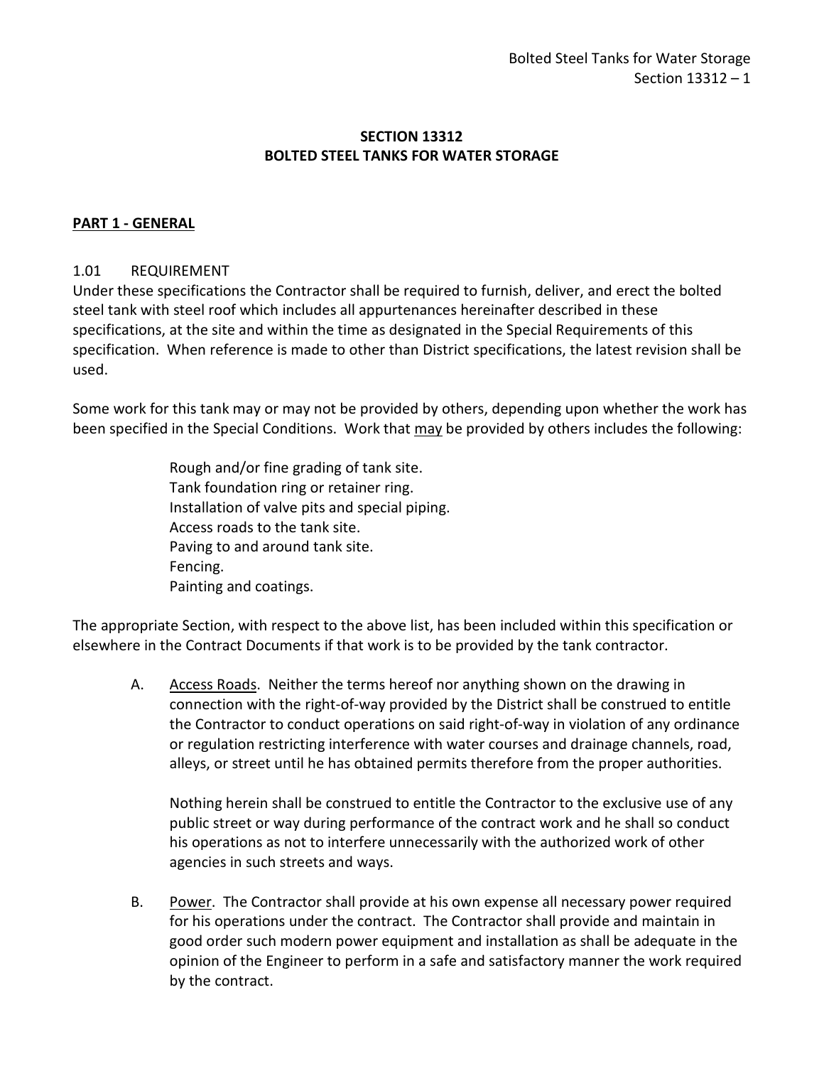# **SECTION 13312 BOLTED STEEL TANKS FOR WATER STORAGE**

### <span id="page-2-0"></span>**PART 1 - GENERAL**

### <span id="page-2-1"></span>1.01 REQUIREMENT

Under these specifications the Contractor shall be required to furnish, deliver, and erect the bolted steel tank with steel roof which includes all appurtenances hereinafter described in these specifications, at the site and within the time as designated in the Special Requirements of this specification. When reference is made to other than District specifications, the latest revision shall be used.

Some work for this tank may or may not be provided by others, depending upon whether the work has been specified in the Special Conditions. Work that may be provided by others includes the following:

> Rough and/or fine grading of tank site. Tank foundation ring or retainer ring. Installation of valve pits and special piping. Access roads to the tank site. Paving to and around tank site. Fencing. Painting and coatings.

The appropriate Section, with respect to the above list, has been included within this specification or elsewhere in the Contract Documents if that work is to be provided by the tank contractor.

A. Access Roads. Neither the terms hereof nor anything shown on the drawing in connection with the right-of-way provided by the District shall be construed to entitle the Contractor to conduct operations on said right-of-way in violation of any ordinance or regulation restricting interference with water courses and drainage channels, road, alleys, or street until he has obtained permits therefore from the proper authorities.

Nothing herein shall be construed to entitle the Contractor to the exclusive use of any public street or way during performance of the contract work and he shall so conduct his operations as not to interfere unnecessarily with the authorized work of other agencies in such streets and ways.

B. Power. The Contractor shall provide at his own expense all necessary power required for his operations under the contract. The Contractor shall provide and maintain in good order such modern power equipment and installation as shall be adequate in the opinion of the Engineer to perform in a safe and satisfactory manner the work required by the contract.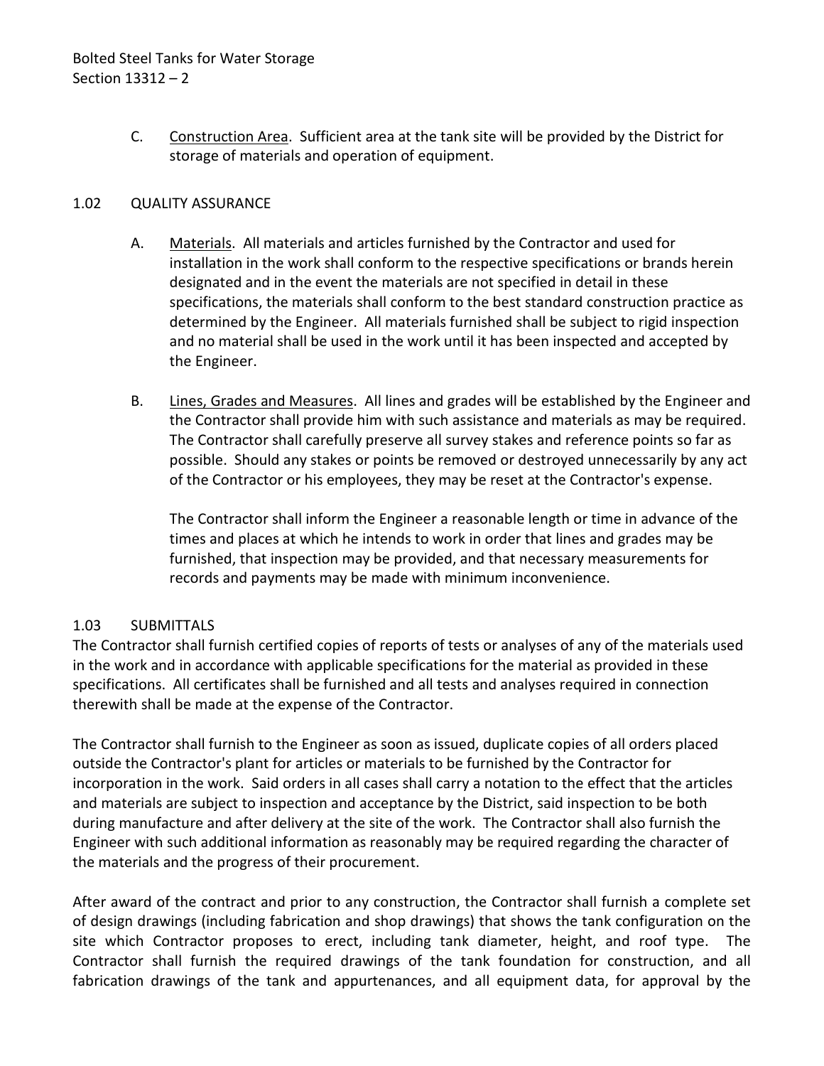C. Construction Area. Sufficient area at the tank site will be provided by the District for storage of materials and operation of equipment.

# <span id="page-3-0"></span>1.02 QUALITY ASSURANCE

- A. Materials. All materials and articles furnished by the Contractor and used for installation in the work shall conform to the respective specifications or brands herein designated and in the event the materials are not specified in detail in these specifications, the materials shall conform to the best standard construction practice as determined by the Engineer. All materials furnished shall be subject to rigid inspection and no material shall be used in the work until it has been inspected and accepted by the Engineer.
- B. Lines, Grades and Measures. All lines and grades will be established by the Engineer and the Contractor shall provide him with such assistance and materials as may be required. The Contractor shall carefully preserve all survey stakes and reference points so far as possible. Should any stakes or points be removed or destroyed unnecessarily by any act of the Contractor or his employees, they may be reset at the Contractor's expense.

The Contractor shall inform the Engineer a reasonable length or time in advance of the times and places at which he intends to work in order that lines and grades may be furnished, that inspection may be provided, and that necessary measurements for records and payments may be made with minimum inconvenience.

# <span id="page-3-1"></span>1.03 SUBMITTALS

The Contractor shall furnish certified copies of reports of tests or analyses of any of the materials used in the work and in accordance with applicable specifications for the material as provided in these specifications. All certificates shall be furnished and all tests and analyses required in connection therewith shall be made at the expense of the Contractor.

The Contractor shall furnish to the Engineer as soon as issued, duplicate copies of all orders placed outside the Contractor's plant for articles or materials to be furnished by the Contractor for incorporation in the work. Said orders in all cases shall carry a notation to the effect that the articles and materials are subject to inspection and acceptance by the District, said inspection to be both during manufacture and after delivery at the site of the work. The Contractor shall also furnish the Engineer with such additional information as reasonably may be required regarding the character of the materials and the progress of their procurement.

After award of the contract and prior to any construction, the Contractor shall furnish a complete set of design drawings (including fabrication and shop drawings) that shows the tank configuration on the site which Contractor proposes to erect, including tank diameter, height, and roof type. The Contractor shall furnish the required drawings of the tank foundation for construction, and all fabrication drawings of the tank and appurtenances, and all equipment data, for approval by the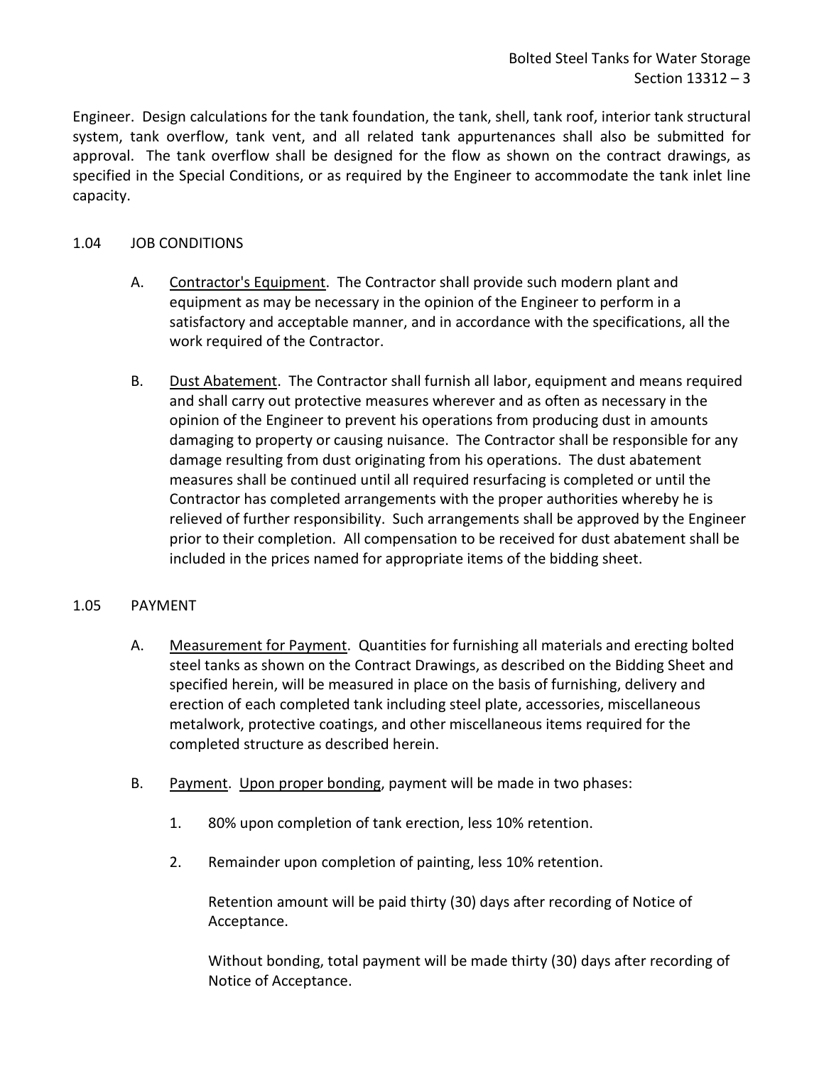Engineer. Design calculations for the tank foundation, the tank, shell, tank roof, interior tank structural system, tank overflow, tank vent, and all related tank appurtenances shall also be submitted for approval. The tank overflow shall be designed for the flow as shown on the contract drawings, as specified in the Special Conditions, or as required by the Engineer to accommodate the tank inlet line capacity.

# <span id="page-4-0"></span>1.04 JOB CONDITIONS

- A. Contractor's Equipment. The Contractor shall provide such modern plant and equipment as may be necessary in the opinion of the Engineer to perform in a satisfactory and acceptable manner, and in accordance with the specifications, all the work required of the Contractor.
- B. Dust Abatement. The Contractor shall furnish all labor, equipment and means required and shall carry out protective measures wherever and as often as necessary in the opinion of the Engineer to prevent his operations from producing dust in amounts damaging to property or causing nuisance. The Contractor shall be responsible for any damage resulting from dust originating from his operations. The dust abatement measures shall be continued until all required resurfacing is completed or until the Contractor has completed arrangements with the proper authorities whereby he is relieved of further responsibility. Such arrangements shall be approved by the Engineer prior to their completion. All compensation to be received for dust abatement shall be included in the prices named for appropriate items of the bidding sheet.

# <span id="page-4-1"></span>1.05 PAYMENT

- A. Measurement for Payment. Quantities for furnishing all materials and erecting bolted steel tanks as shown on the Contract Drawings, as described on the Bidding Sheet and specified herein, will be measured in place on the basis of furnishing, delivery and erection of each completed tank including steel plate, accessories, miscellaneous metalwork, protective coatings, and other miscellaneous items required for the completed structure as described herein.
- B. Payment. Upon proper bonding, payment will be made in two phases:
	- 1. 80% upon completion of tank erection, less 10% retention.
	- 2. Remainder upon completion of painting, less 10% retention.

Retention amount will be paid thirty (30) days after recording of Notice of Acceptance.

Without bonding, total payment will be made thirty (30) days after recording of Notice of Acceptance.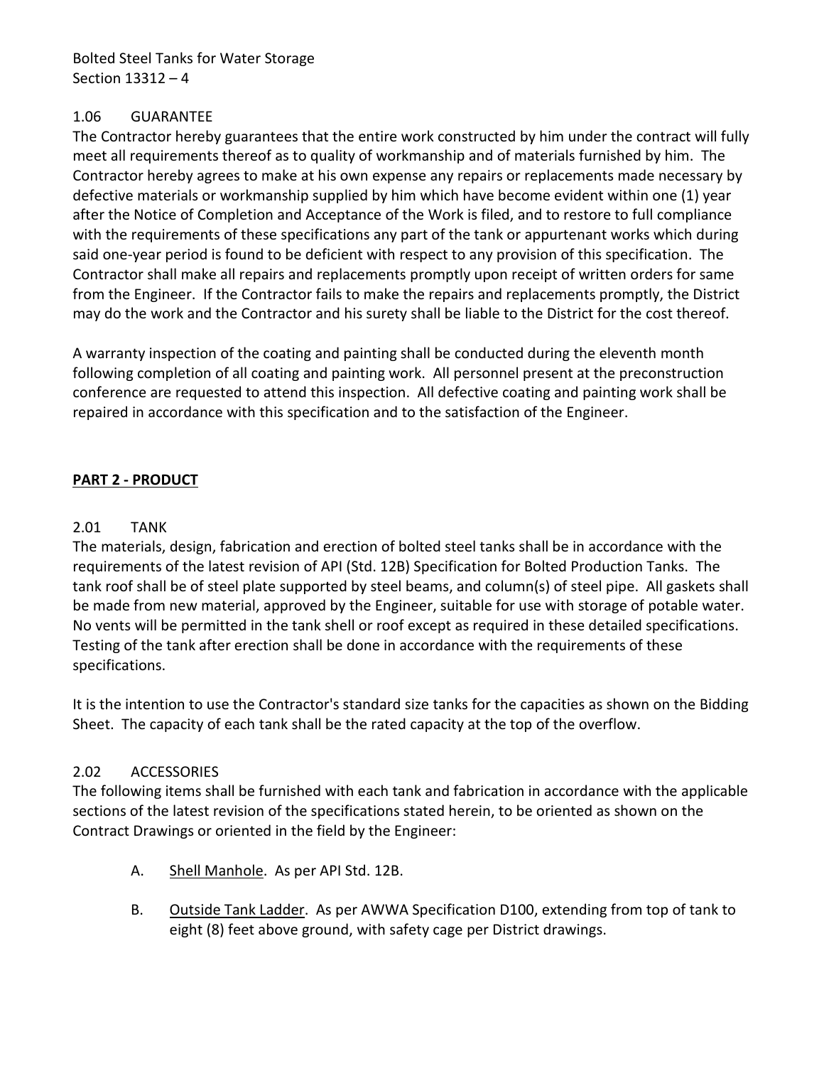Bolted Steel Tanks for Water Storage Section 13312 – 4

### <span id="page-5-0"></span>1.06 GUARANTEE

The Contractor hereby guarantees that the entire work constructed by him under the contract will fully meet all requirements thereof as to quality of workmanship and of materials furnished by him. The Contractor hereby agrees to make at his own expense any repairs or replacements made necessary by defective materials or workmanship supplied by him which have become evident within one (1) year after the Notice of Completion and Acceptance of the Work is filed, and to restore to full compliance with the requirements of these specifications any part of the tank or appurtenant works which during said one-year period is found to be deficient with respect to any provision of this specification. The Contractor shall make all repairs and replacements promptly upon receipt of written orders for same from the Engineer. If the Contractor fails to make the repairs and replacements promptly, the District may do the work and the Contractor and his surety shall be liable to the District for the cost thereof.

A warranty inspection of the coating and painting shall be conducted during the eleventh month following completion of all coating and painting work. All personnel present at the preconstruction conference are requested to attend this inspection. All defective coating and painting work shall be repaired in accordance with this specification and to the satisfaction of the Engineer.

# <span id="page-5-1"></span>**PART 2 - PRODUCT**

### <span id="page-5-2"></span>2.01 TANK

The materials, design, fabrication and erection of bolted steel tanks shall be in accordance with the requirements of the latest revision of API (Std. 12B) Specification for Bolted Production Tanks. The tank roof shall be of steel plate supported by steel beams, and column(s) of steel pipe. All gaskets shall be made from new material, approved by the Engineer, suitable for use with storage of potable water. No vents will be permitted in the tank shell or roof except as required in these detailed specifications. Testing of the tank after erection shall be done in accordance with the requirements of these specifications.

It is the intention to use the Contractor's standard size tanks for the capacities as shown on the Bidding Sheet. The capacity of each tank shall be the rated capacity at the top of the overflow.

#### <span id="page-5-3"></span>2.02 ACCESSORIES

The following items shall be furnished with each tank and fabrication in accordance with the applicable sections of the latest revision of the specifications stated herein, to be oriented as shown on the Contract Drawings or oriented in the field by the Engineer:

- A. Shell Manhole. As per API Std. 12B.
- B. Outside Tank Ladder. As per AWWA Specification D100, extending from top of tank to eight (8) feet above ground, with safety cage per District drawings.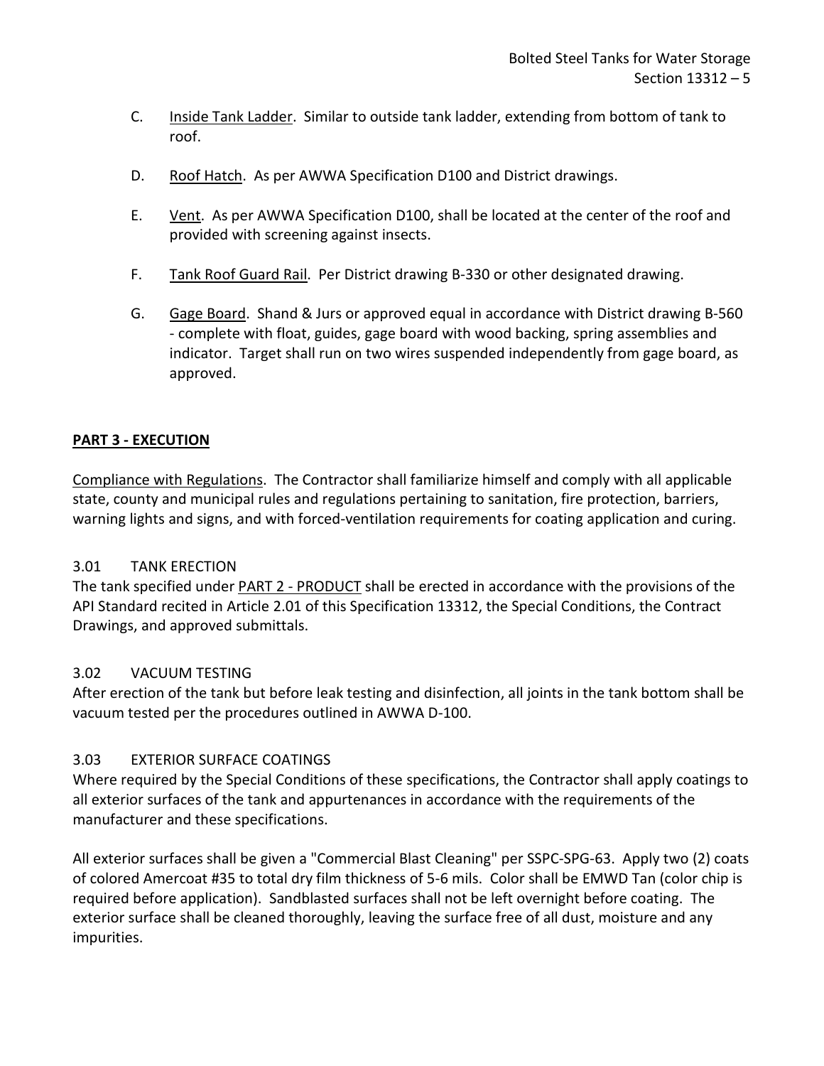- C. Inside Tank Ladder. Similar to outside tank ladder, extending from bottom of tank to roof.
- D. Roof Hatch. As per AWWA Specification D100 and District drawings.
- E. Vent. As per AWWA Specification D100, shall be located at the center of the roof and provided with screening against insects.
- F. Tank Roof Guard Rail. Per District drawing B-330 or other designated drawing.
- G. Gage Board. Shand & Jurs or approved equal in accordance with District drawing B-560 - complete with float, guides, gage board with wood backing, spring assemblies and indicator. Target shall run on two wires suspended independently from gage board, as approved.

# <span id="page-6-0"></span>**PART 3 - EXECUTION**

Compliance with Regulations. The Contractor shall familiarize himself and comply with all applicable state, county and municipal rules and regulations pertaining to sanitation, fire protection, barriers, warning lights and signs, and with forced-ventilation requirements for coating application and curing.

# <span id="page-6-1"></span>3.01 TANK ERECTION

The tank specified under PART 2 - PRODUCT shall be erected in accordance with the provisions of the API Standard recited in Article 2.01 of this Specification 13312, the Special Conditions, the Contract Drawings, and approved submittals.

# <span id="page-6-2"></span>3.02 VACUUM TESTING

After erection of the tank but before leak testing and disinfection, all joints in the tank bottom shall be vacuum tested per the procedures outlined in AWWA D-100.

# <span id="page-6-3"></span>3.03 EXTERIOR SURFACE COATINGS

Where required by the Special Conditions of these specifications, the Contractor shall apply coatings to all exterior surfaces of the tank and appurtenances in accordance with the requirements of the manufacturer and these specifications.

All exterior surfaces shall be given a "Commercial Blast Cleaning" per SSPC-SPG-63. Apply two (2) coats of colored Amercoat #35 to total dry film thickness of 5-6 mils. Color shall be EMWD Tan (color chip is required before application). Sandblasted surfaces shall not be left overnight before coating. The exterior surface shall be cleaned thoroughly, leaving the surface free of all dust, moisture and any impurities.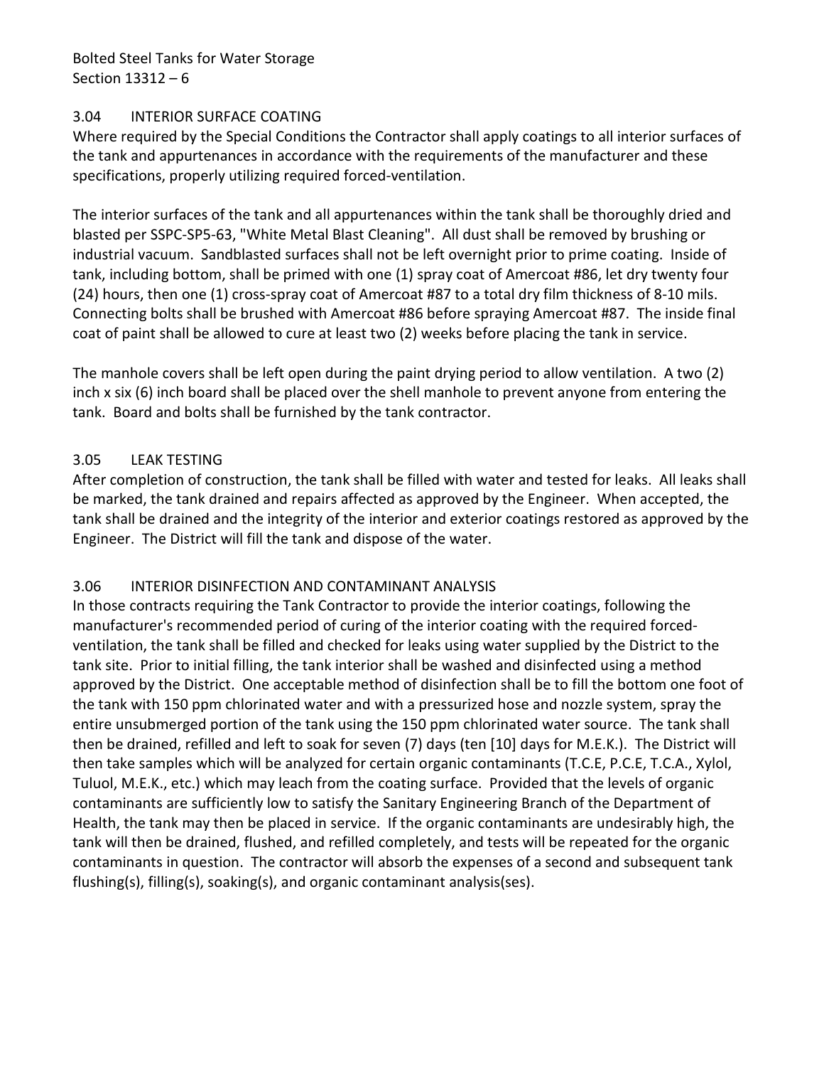Bolted Steel Tanks for Water Storage Section 13312 – 6

#### <span id="page-7-0"></span>3.04 INTERIOR SURFACE COATING

Where required by the Special Conditions the Contractor shall apply coatings to all interior surfaces of the tank and appurtenances in accordance with the requirements of the manufacturer and these specifications, properly utilizing required forced-ventilation.

The interior surfaces of the tank and all appurtenances within the tank shall be thoroughly dried and blasted per SSPC-SP5-63, "White Metal Blast Cleaning". All dust shall be removed by brushing or industrial vacuum. Sandblasted surfaces shall not be left overnight prior to prime coating. Inside of tank, including bottom, shall be primed with one (1) spray coat of Amercoat #86, let dry twenty four (24) hours, then one (1) cross-spray coat of Amercoat #87 to a total dry film thickness of 8-10 mils. Connecting bolts shall be brushed with Amercoat #86 before spraying Amercoat #87. The inside final coat of paint shall be allowed to cure at least two (2) weeks before placing the tank in service.

The manhole covers shall be left open during the paint drying period to allow ventilation. A two (2) inch x six (6) inch board shall be placed over the shell manhole to prevent anyone from entering the tank. Board and bolts shall be furnished by the tank contractor.

### <span id="page-7-1"></span>3.05 LEAK TESTING

After completion of construction, the tank shall be filled with water and tested for leaks. All leaks shall be marked, the tank drained and repairs affected as approved by the Engineer. When accepted, the tank shall be drained and the integrity of the interior and exterior coatings restored as approved by the Engineer. The District will fill the tank and dispose of the water.

# <span id="page-7-2"></span>3.06 INTERIOR DISINFECTION AND CONTAMINANT ANALYSIS

In those contracts requiring the Tank Contractor to provide the interior coatings, following the manufacturer's recommended period of curing of the interior coating with the required forcedventilation, the tank shall be filled and checked for leaks using water supplied by the District to the tank site. Prior to initial filling, the tank interior shall be washed and disinfected using a method approved by the District. One acceptable method of disinfection shall be to fill the bottom one foot of the tank with 150 ppm chlorinated water and with a pressurized hose and nozzle system, spray the entire unsubmerged portion of the tank using the 150 ppm chlorinated water source. The tank shall then be drained, refilled and left to soak for seven (7) days (ten [10] days for M.E.K.). The District will then take samples which will be analyzed for certain organic contaminants (T.C.E, P.C.E, T.C.A., Xylol, Tuluol, M.E.K., etc.) which may leach from the coating surface. Provided that the levels of organic contaminants are sufficiently low to satisfy the Sanitary Engineering Branch of the Department of Health, the tank may then be placed in service. If the organic contaminants are undesirably high, the tank will then be drained, flushed, and refilled completely, and tests will be repeated for the organic contaminants in question. The contractor will absorb the expenses of a second and subsequent tank flushing(s), filling(s), soaking(s), and organic contaminant analysis(ses).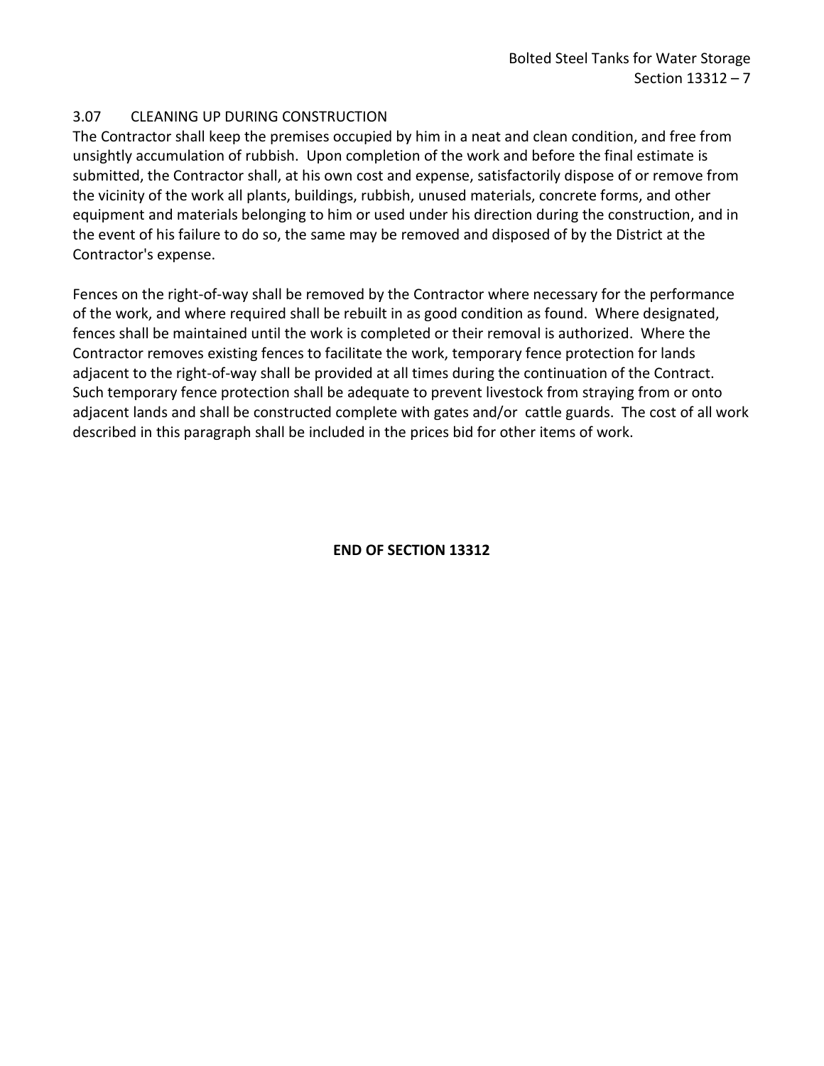### <span id="page-8-0"></span>3.07 CLEANING UP DURING CONSTRUCTION

The Contractor shall keep the premises occupied by him in a neat and clean condition, and free from unsightly accumulation of rubbish. Upon completion of the work and before the final estimate is submitted, the Contractor shall, at his own cost and expense, satisfactorily dispose of or remove from the vicinity of the work all plants, buildings, rubbish, unused materials, concrete forms, and other equipment and materials belonging to him or used under his direction during the construction, and in the event of his failure to do so, the same may be removed and disposed of by the District at the Contractor's expense.

Fences on the right-of-way shall be removed by the Contractor where necessary for the performance of the work, and where required shall be rebuilt in as good condition as found. Where designated, fences shall be maintained until the work is completed or their removal is authorized. Where the Contractor removes existing fences to facilitate the work, temporary fence protection for lands adjacent to the right-of-way shall be provided at all times during the continuation of the Contract. Such temporary fence protection shall be adequate to prevent livestock from straying from or onto adjacent lands and shall be constructed complete with gates and/or cattle guards. The cost of all work described in this paragraph shall be included in the prices bid for other items of work.

# **END OF SECTION 13312**